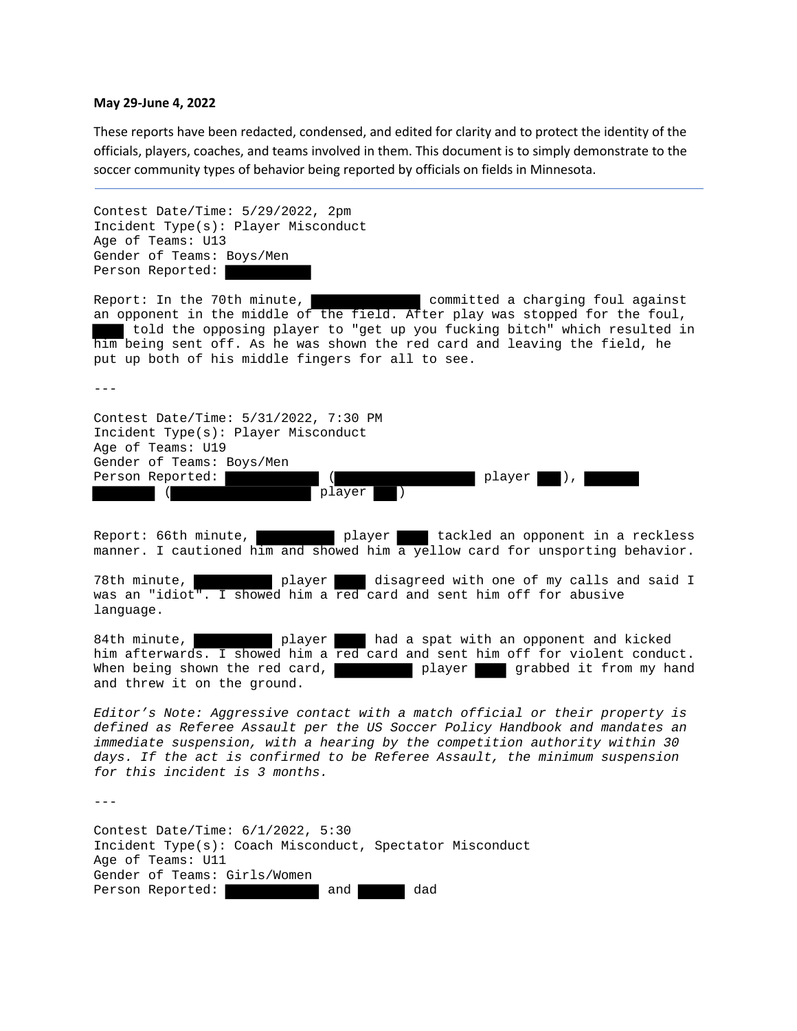## **May 29‐June 4, 2022**

These reports have been redacted, condensed, and edited for clarity and to protect the identity of the officials, players, coaches, and teams involved in them. This document is to simply demonstrate to the soccer community types of behavior being reported by officials on fields in Minnesota.

Contest Date/Time: 5/29/2022, 2pm Incident Type(s): Player Misconduct Age of Teams: U13 Gender of Teams: Boys/Men Person Reported:

Report: In the 70th minute, committed a charging foul against an opponent in the middle of the field. After play was stopped for the foul, told the opposing player to "get up you fucking bitch" which resulted in him being sent off. As he was shown the red card and leaving the field, he put up both of his middle fingers for all to see.

---

Contest Date/Time: 5/31/2022, 7:30 PM Incident Type(s): Player Misconduct Age of Teams: U19 Gender of Teams: Boys/Men Person Reported:  $($  player ), ( player

Report: 66th minute, **player** tackled an opponent in a reckless manner. I cautioned him and showed him a yellow card for unsporting behavior.

78th minute, player disagreed with one of my calls and said I was an "idiot". I showed him a red card and sent him off for abusive language.

84th minute, **player** had a spat with an opponent and kicked him afterwards. I showed him a red card and sent him off for violent conduct. When being shown the red card, The player grabbed it from my hand and threw it on the ground.

*Editor's Note: Aggressive contact with a match official or their property is defined as Referee Assault per the US Soccer Policy Handbook and mandates an immediate suspension, with a hearing by the competition authority within 30 days. If the act is confirmed to be Referee Assault, the minimum suspension for this incident is 3 months.* 

---

Contest Date/Time: 6/1/2022, 5:30 Incident Type(s): Coach Misconduct, Spectator Misconduct Age of Teams: U11 Gender of Teams: Girls/Women Person Reported: and and dad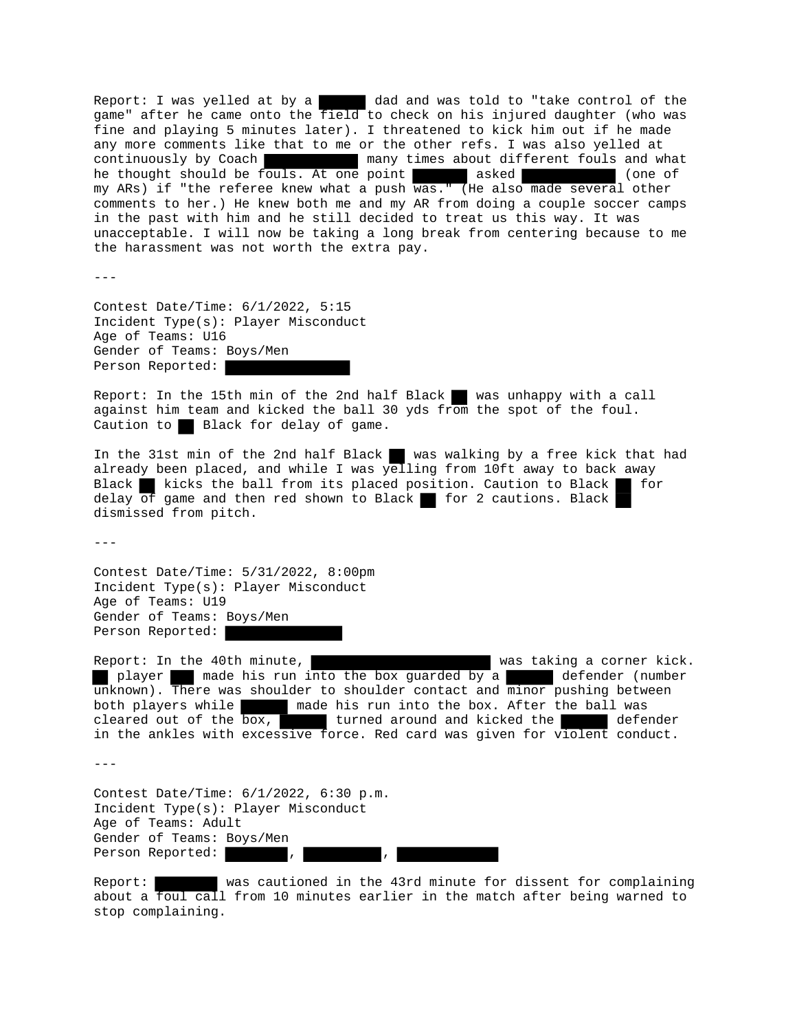Report: I was yelled at by a dad and was told to "take control of the game" after he came onto the field to check on his injured daughter (who was fine and playing 5 minutes later). I threatened to kick him out if he made any more comments like that to me or the other refs. I was also yelled at continuously by Coach many times about different fouls and what he thought should be fouls. At one point asked (one of my ARs) if "the referee knew what a push was." (He also made several other comments to her.) He knew both me and my AR from doing a couple soccer camps in the past with him and he still decided to treat us this way. It was unacceptable. I will now be taking a long break from centering because to me the harassment was not worth the extra pay.

 $- - -$ 

Contest Date/Time: 6/1/2022, 5:15 Incident Type(s): Player Misconduct Age of Teams: U16 Gender of Teams: Boys/Men Person Reported:

Report: In the 15th min of the 2nd half Black was unhappy with a call against him team and kicked the ball 30 yds from the spot of the foul. Caution to Black for delay of game.

In the 31st min of the 2nd half Black  $\blacksquare$  was walking by a free kick that had already been placed, and while I was  $\overline{y}$ elling from 10ft away to back away Black kicks the ball from its placed position. Caution to Black for delay  $\overline{of}$  game and then red shown to Black for 2 cautions. Black dismissed from pitch.

 $-$ - $-$ 

Contest Date/Time: 5/31/2022, 8:00pm Incident Type(s): Player Misconduct Age of Teams: U19 Gender of Teams: Boys/Men Person Reported:

Report: In the 40th minute, was taking a corner kick. player made his run into the box guarded by a defender (number unknown). There was shoulder to shoulder contact and minor pushing between both players while made his run into the box. After the ball was cleared out of the box, turned around and kicked the defender in the ankles with excessive force. Red card was given for violent conduct.

---

Contest Date/Time: 6/1/2022, 6:30 p.m. Incident Type(s): Player Misconduct Age of Teams: Adult Gender of Teams: Boys/Men Person Reported:

Report: was cautioned in the 43rd minute for dissent for complaining about a foul call from 10 minutes earlier in the match after being warned to stop complaining.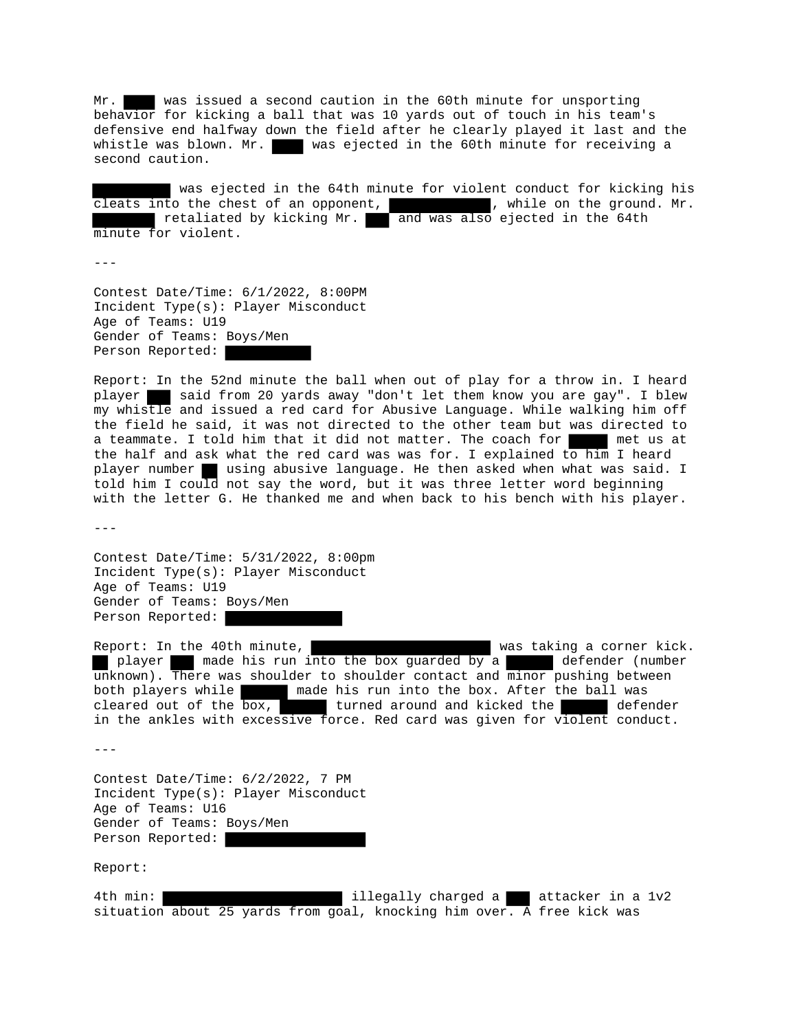Mr. was issued a second caution in the 60th minute for unsporting behavior for kicking a ball that was 10 yards out of touch in his team's defensive end halfway down the field after he clearly played it last and the whistle was blown. Mr. was ejected in the 60th minute for receiving a second caution.

 was ejected in the 64th minute for violent conduct for kicking his cleats into the chest of an opponent,  $\blacksquare$ , while on the ground. Mr. retaliated by kicking Mr. and was also ejected in the 64th minute for violent.

---

Contest Date/Time: 6/1/2022, 8:00PM Incident Type(s): Player Misconduct Age of Teams: U19 Gender of Teams: Boys/Men Person Reported:

Report: In the 52nd minute the ball when out of play for a throw in. I heard player said from 20 yards away "don't let them know you are gay". I blew my whistle and issued a red card for Abusive Language. While walking him off the field he said, it was not directed to the other team but was directed to a teammate. I told him that it did not matter. The coach for met us at the half and ask what the red card was was for. I explained to him I heard player number using abusive language. He then asked when what was said. I told him I could not say the word, but it was three letter word beginning with the letter G. He thanked me and when back to his bench with his player.

 $- - -$ 

Contest Date/Time: 5/31/2022, 8:00pm Incident Type(s): Player Misconduct Age of Teams: U19 Gender of Teams: Boys/Men Person Reported:

Report: In the 40th minute, was taking a corner kick. player a made his run into the box guarded by a defender (number unknown). There was shoulder to shoulder contact and minor pushing between both players while made his run into the box. After the ball was cleared out of the box, turned around and kicked the defender in the ankles with excessive force. Red card was given for violent conduct.

---

Contest Date/Time: 6/2/2022, 7 PM Incident Type(s): Player Misconduct Age of Teams: U16 Gender of Teams: Boys/Men Person Reported:

Report:

4th min: **illegally charged a** attacker in a 1v2 situation about 25 yards from goal, knocking him over. A free kick was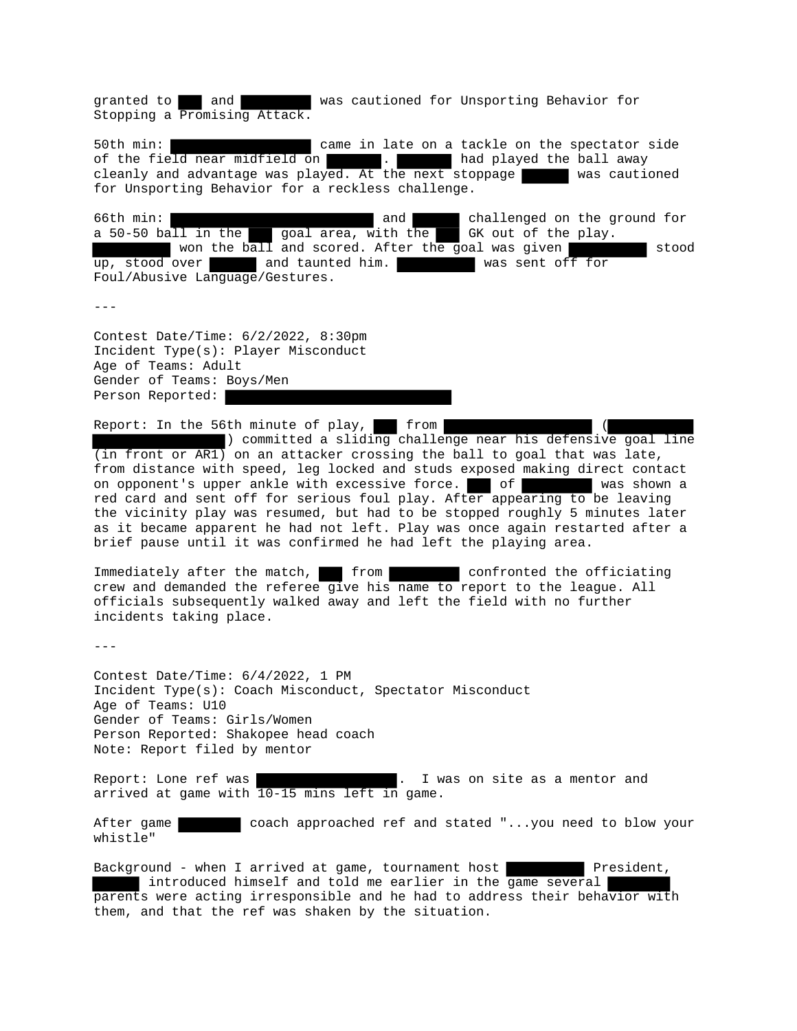granted to and was cautioned for Unsporting Behavior for Stopping a Promising Attack.

50th min: came in late on a tackle on the spectator side of the field near midfield on  $\blacksquare$ . had played the ball away cleanly and advantage was played. At the next stoppage  $\blacksquare$  was cautioned for Unsporting Behavior for a reckless challenge.

66th min: and challenged on the ground for a 50-50 ball in the goal area, with the GK out of the play. won the ball and scored. After the goal was given stood up, stood over and taunted him. Was sent off for Foul/Abusive Language/Gestures.

 $- - -$ 

Contest Date/Time: 6/2/2022, 8:30pm Incident Type(s): Player Misconduct Age of Teams: Adult Gender of Teams: Boys/Men Person Reported:

Report: In the 56th minute of play,  $\blacksquare$  from

) committed a sliding challenge near his defensive goal line  $(i$ n front or  $ART)$  on an attacker crossing the ball to goal that was late, from distance with speed, leg locked and studs exposed making direct contact on opponent's upper ankle with excessive force. of was shown a red card and sent off for serious foul play. After appearing to be leaving the vicinity play was resumed, but had to be stopped roughly 5 minutes later as it became apparent he had not left. Play was once again restarted after a brief pause until it was confirmed he had left the playing area.

Immediately after the match, from confronted the officiating crew and demanded the referee give his name to report to the league. All officials subsequently walked away and left the field with no further incidents taking place.

---

Contest Date/Time: 6/4/2022, 1 PM Incident Type(s): Coach Misconduct, Spectator Misconduct Age of Teams: U10 Gender of Teams: Girls/Women Person Reported: Shakopee head coach Note: Report filed by mentor

Report: Lone ref was . I was on site as a mentor and arrived at game with 10-15 mins left in game.

After game coach approached ref and stated "...you need to blow your whistle"

Background - when I arrived at game, tournament host President, introduced himself and told me earlier in the game several parents were acting irresponsible and he had to address their behavior with them, and that the ref was shaken by the situation.